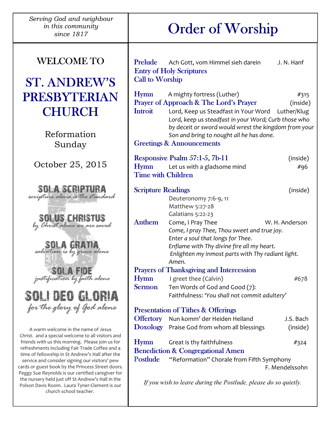| Serving God and neighbour<br>in this community<br>since 1817                                                                                                                                                                                                                                                       |                                                                 | <b>Order of Worship</b>                                                                                                                                                                                                    |                        |
|--------------------------------------------------------------------------------------------------------------------------------------------------------------------------------------------------------------------------------------------------------------------------------------------------------------------|-----------------------------------------------------------------|----------------------------------------------------------------------------------------------------------------------------------------------------------------------------------------------------------------------------|------------------------|
| <b>WELCOME TO</b><br><b>ST. ANDREW'S</b>                                                                                                                                                                                                                                                                           | Prelude<br><b>Call to Worship</b>                               | Ach Gott, vom Himmel sieh darein<br><b>Entry of Holy Scriptures</b>                                                                                                                                                        | J. N. Hanf             |
| <b>PRESBYTERIAN</b><br><b>CHURCH</b>                                                                                                                                                                                                                                                                               | Hymn<br><b>Introit</b>                                          | A mighty fortress (Luther)<br>Prayer of Approach & The Lord's Prayer<br>Lord, Keep us Steadfast in Your Word Luther/Klug                                                                                                   | #315<br>(inside)       |
| Reformation<br>Sunday                                                                                                                                                                                                                                                                                              |                                                                 | Lord, keep us steadfast in your Word; Curb those who<br>by deceit or sword would wrest the kingdom from your<br>Son and bring to nought all he has done.<br><b>Greetings &amp; Announcements</b>                           |                        |
| October 25, 2015                                                                                                                                                                                                                                                                                                   | <b>Hymn</b><br><b>Time with Children</b>                        | Responsive Psalm 57:1-5, 7b-11<br>Let us with a gladsome mind                                                                                                                                                              | (inside)<br>#96        |
| <b>SOLA SCRIPTURA</b><br>scripture alone is the standard                                                                                                                                                                                                                                                           | <b>Scripture Readings</b>                                       | Deuteronomy 7:6-9, 11<br>Matthew 5:27-28<br>Galatians 5:22-23                                                                                                                                                              | (inside)               |
| <b>SOLUS CHRISTUS</b><br>by Christ alone we are saved<br>salvation is by grace alone                                                                                                                                                                                                                               | <b>Anthem</b>                                                   | Come, I Pray Thee<br>W. H. Anderson<br>Come, I pray Thee, Thou sweet and true joy.<br>Enter a soul that longs for Thee.<br>Enflame with Thy divine fire all my heart.<br>Enlighten my inmost parts with Thy radiant light. |                        |
| SOLA FIDE<br>SOLI DEO GLORIA                                                                                                                                                                                                                                                                                       | <b>Hymn</b><br><b>Sermon</b>                                    | Amen.<br><b>Prayers of Thanksgiving and Intercession</b><br>I greet thee (Calvin)<br>Ten Words of God and Good (7):<br>Faithfulness: 'You shall not commit adultery'                                                       | #678                   |
| for the glory of God alone<br>A warm welcome in the name of Jesus                                                                                                                                                                                                                                                  | <b>Offertory</b>                                                | <b>Presentation of Tithes &amp; Offerings</b><br>Nun komm' der Heiden Heiland<br>Doxology Praise God from whom all blessings                                                                                               | J.S. Bach<br>(inside)  |
| Christ. and a special welcome to all visitors and<br>friends with us this morning. Please join us for<br>refreshments including Fair Trade Coffee and a<br>time of fellowship in St Andrew's Hall after the<br>service and consider signing our visitors' pew<br>cards or guest book by the Princess Street doors. | <b>Hymn</b><br>Postlude                                         | Great is thy faithfulness<br><b>Benediction &amp; Congregational Amen</b><br>"Reformation" Chorale from Fifth Symphony                                                                                                     | #324<br>F. Mendelssohn |
| Peggy Sue Reynolds is our certified caregiver for<br>the nursery held just off St Andrew's Hall in the<br>Polson Davis Room. Laura Tyner-Clement is our<br>church school teacher.                                                                                                                                  | If you wish to leave during the Postlude, please do so quietly. |                                                                                                                                                                                                                            |                        |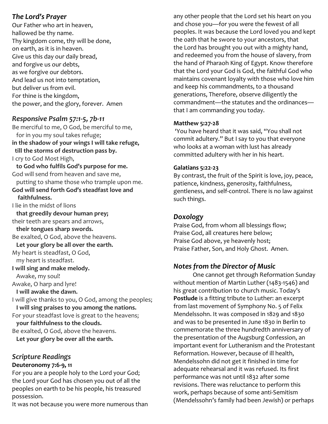## The Lord's Prayer

Our Father who art in heaven, hallowed be thy name. Thy kingdom come, thy will be done, on earth, as it is in heaven. Give us this day our daily bread, and forgive us our debts, as we forgive our debtors. And lead us not into temptation, but deliver us from evil. For thine is the kingdom, the power, and the glory, forever. Amen

## Responsive Psalm 57:1-5, 7b-11

Be merciful to me, O God, be merciful to me, for in you my soul takes refuge; in the shadow of your wings I will take refuge, till the storms of destruction pass by. I cry to God Most High, to God who fulfils God's purpose for me. God will send from heaven and save me, putting to shame those who trample upon me. God will send forth God's steadfast love and faithfulness. I lie in the midst of lions that greedily devour human prey; their teeth are spears and arrows, their tongues sharp swords. Be exalted, O God, above the heavens. Let your glory be all over the earth. My heart is steadfast, O God, my heart is steadfast. I will sing and make melody. Awake, my soul! Awake, O harp and lyre! I will awake the dawn. I will give thanks to you, O God, among the peoples; I will sing praises to you among the nations. For your steadfast love is great to the heavens; your faithfulness to the clouds. Be exalted, O God, above the heavens. Let your glory be over all the earth.

# Scripture Readings

### Deuteronomy 7:6-9, 11

For you are a people holy to the Lord your God; the Lord your God has chosen you out of all the peoples on earth to be his people, his treasured possession.

It was not because you were more numerous than

any other people that the Lord set his heart on you and chose you—for you were the fewest of all peoples. It was because the Lord loved you and kept the oath that he swore to your ancestors, that the Lord has brought you out with a mighty hand, and redeemed you from the house of slavery, from the hand of Pharaoh King of Egypt. Know therefore that the Lord your God is God, the faithful God who maintains covenant loyalty with those who love him and keep his commandments, to a thousand generations, Therefore, observe diligently the commandment—the statutes and the ordinances that I am commanding you today.

# Matthew 5:27-28

 'You have heard that it was said, "You shall not commit adultery." But I say to you that everyone who looks at a woman with lust has already committed adultery with her in his heart.

### Galatians 5:22-23

By contrast, the fruit of the Spirit is love, joy, peace, patience, kindness, generosity, faithfulness, gentleness, and self-control. There is no law against such things.

## Doxology

Praise God, from whom all blessings flow; Praise God, all creatures here below; Praise God above, ye heavenly host; Praise Father, Son, and Holy Ghost. Amen.

# Notes from the Director of Music

 One cannot get through Reformation Sunday without mention of Martin Luther (1483-1546) and his great contribution to church music. Today's Postlude is a fitting tribute to Luther: an excerpt from last movement of Symphony No. 5 of Felix Mendelssohn. It was composed in 1829 and 1830 and was to be presented in June 1830 in Berlin to commemorate the three hundredth anniversary of the presentation of the Augsburg Confession, an important event for Lutheranism and the Protestant Reformation. However, because of ill health, Mendelssohn did not get it finished in time for adequate rehearsal and it was refused. Its first performance was not until 1832 after some revisions. There was reluctance to perform this work, perhaps because of some anti-Semitism (Mendelssohn's family had been Jewish) or perhaps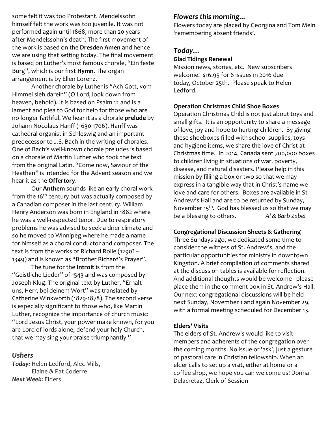some felt it was too Protestant. Mendelssohn himself felt the work was too juvenile. It was not performed again until 1868, more than 20 years after Mendelssohn's death. The first movement of the work is based on the **Dresden Amen** and hence we are using that setting today. The final movement is based on Luther's most famous chorale, "Ein feste Burg", which is our first **Hymn**. The organ arrangement is by Ellen Lorenz.

 Another chorale by Luther is "Ach Gott, vom Himmel sieh darein" (O Lord, look down from heaven, behold). It is based on Psalm 12 and is a lament and plea to God for help for those who are no longer faithful. We hear it as a chorale prelude by Johann Nocolaus Hanff (1630-1706). Hanff was cathedral organist in Schleswig and an important predecessor to J.S. Bach in the writing of chorales. One of Bach's well-known chorale preludes is based on a chorale of Martin Luther who took the text from the original Latin. "Come now, Saviour of the Heathen" is intended for the Advent season and we hear it as the Offertory.

 Our Anthem sounds like an early choral work from the  $16<sup>th</sup>$  century but was actually composed by a Canadian composer in the last century. William Henry Anderson was born in England in 1882 where he was a well-respected tenor. Due to respiratory problems he was advised to seek a drier climate and so he moved to Winnipeg where he made a name for himself as a choral conductor and composer. The text is from the works of Richard Rolle (1290? – 1349) and is known as "Brother Richard's Prayer".

The tune for the **Introit** is from the "Geistliche Lieder" of 1543 and was composed by Joseph Klug. The original text by Luther, "Erhalt uns, Herr, bei deinem Wort" was translated by Catherine Winkworth (1829-1878). The second verse is especially significant to those who, like Martin Luther, recognize the importance of church music: "Lord Jesus Christ, your power make known, for you are Lord of lords alone; defend your holy Church, that we may sing your praise triumphantly."

### Ushers

Today: Helen Ledford, Alec Mills, Elaine & Pat Coderre Next Week: Elders

### Flowers this morning…

Flowers today are placed by Georgina and Tom Mein 'remembering absent friends'.

### Today…

#### Glad Tidings Renewal

Mission news, stories, etc. New subscribers welcome! \$16.95 for 6 issues in 2016 due today, October 25th. Please speak to Helen Ledford.

#### Operation Christmas Child Shoe Boxes

Operation Christmas Child is not just about toys and small gifts. It is an opportunity to share a message of love, joy and hope to hurting children. By giving these shoeboxes filled with school supplies, toys and hygiene items, we share the love of Christ at Christmas time. In 2014, Canada sent 700,000 boxes to children living in situations of war, poverty, disease, and natural disasters. Please help in this mission by filling a box or two so that we may express in a tangible way that in Christ's name we love and care for others. Boxes are available in St Andrew's Hall and are to be returned by Sunday, November  $15<sup>th</sup>$ . God has blessed us so that we may be a blessing to others. Al & Barb Zabel

#### Congregational Discussion Sheets & Gathering

Three Sundays ago, we dedicated some time to consider the witness of St. Andrew's, and the particular opportunities for ministry in downtown Kingston. A brief compilation of comments shared at the discussion tables is available for reflection. And additional thoughts would be welcome - please place them in the comment box in St. Andrew's Hall. Our next congregational discussions will be held next Sunday, November 1 and again November 29, with a formal meeting scheduled for December 13.

#### Elders' Visits

The elders of St. Andrew's would like to visit members and adherents of the congregation over the coming months. No issue or 'ask', just a gesture of pastoral care in Christian fellowship. When an elder calls to set up a visit, either at home or a coffee shop, we hope you can welcome us! Donna Delacretaz, Clerk of Session